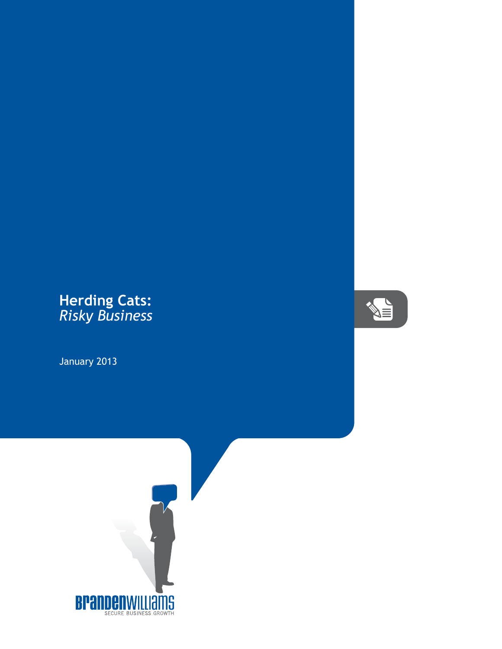## **Herding Cats:** *Risky Business*

January 2013



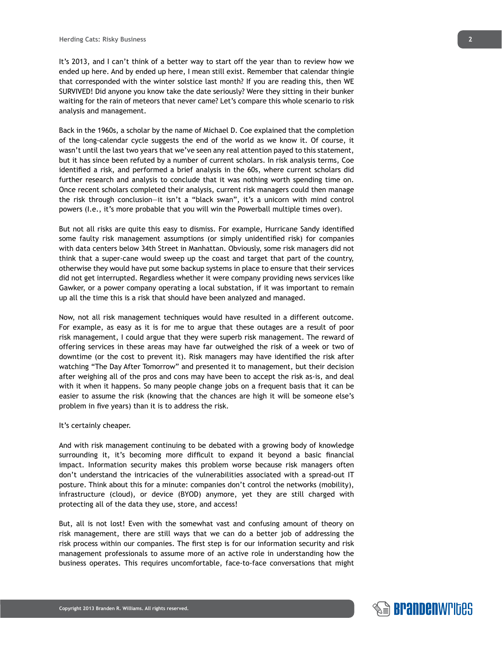It's 2013, and I can't think of a better way to start off the year than to review how we ended up here. And by ended up here, I mean still exist. Remember that calendar thingie that corresponded with the winter solstice last month? If you are reading this, then WE SURVIVED! Did anyone you know take the date seriously? Were they sitting in their bunker waiting for the rain of meteors that never came? Let's compare this whole scenario to risk analysis and management.

Back in the 1960s, a scholar by the name of Michael D. Coe explained that the completion of the long-calendar cycle suggests the end of the world as we know it. Of course, it wasn't until the last two years that we've seen any real attention payed to this statement, but it has since been refuted by a number of current scholars. In risk analysis terms, Coe identified a risk, and performed a brief analysis in the 60s, where current scholars did further research and analysis to conclude that it was nothing worth spending time on. Once recent scholars completed their analysis, current risk managers could then manage the risk through conclusion—it isn't a "black swan", it's a unicorn with mind control powers (I.e., it's more probable that you will win the Powerball multiple times over).

But not all risks are quite this easy to dismiss. For example, Hurricane Sandy identified some faulty risk management assumptions (or simply unidentified risk) for companies with data centers below 34th Street in Manhattan. Obviously, some risk managers did not think that a super-cane would sweep up the coast and target that part of the country, otherwise they would have put some backup systems in place to ensure that their services did not get interrupted. Regardless whether it were company providing news services like Gawker, or a power company operating a local substation, if it was important to remain up all the time this is a risk that should have been analyzed and managed.

Now, not all risk management techniques would have resulted in a different outcome. For example, as easy as it is for me to argue that these outages are a result of poor risk management, I could argue that they were superb risk management. The reward of offering services in these areas may have far outweighed the risk of a week or two of downtime (or the cost to prevent it). Risk managers may have identified the risk after watching "The Day After Tomorrow" and presented it to management, but their decision after weighing all of the pros and cons may have been to accept the risk as-is, and deal with it when it happens. So many people change jobs on a frequent basis that it can be easier to assume the risk (knowing that the chances are high it will be someone else's problem in five years) than it is to address the risk.

## It's certainly cheaper.

**Copyright 2013 Branden R. Williams. All rights reserved.** 

And with risk management continuing to be debated with a growing body of knowledge surrounding it, it's becoming more difficult to expand it beyond a basic financial impact. Information security makes this problem worse because risk managers often don't understand the intricacies of the vulnerabilities associated with a spread-out IT posture. Think about this for a minute: companies don't control the networks (mobility), infrastructure (cloud), or device (BYOD) anymore, yet they are still charged with protecting all of the data they use, store, and access!

But, all is not lost! Even with the somewhat vast and confusing amount of theory on risk management, there are still ways that we can do a better job of addressing the risk process within our companies. The first step is for our information security and risk management professionals to assume more of an active role in understanding how the business operates. This requires uncomfortable, face-to-face conversations that might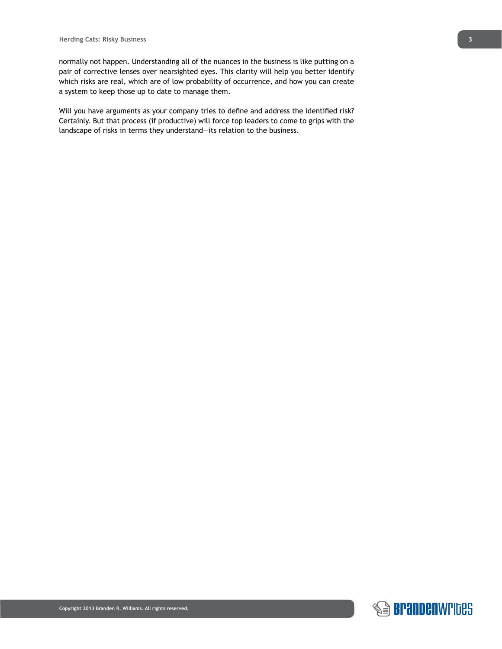normally not happen. Understanding all of the nuances in the business is like putting on a pair of corrective lenses over nearsighted eyes. This clarity will help you better identify which risks are real, which are of low probability of occurrence, and how you can create a system to keep those up to date to manage them.

Will you have arguments as your company tries to define and address the identified risk? Certainly. But that process (if productive) will force top leaders to come to grips with the landscape of risks in terms they understand—its relation to the business.